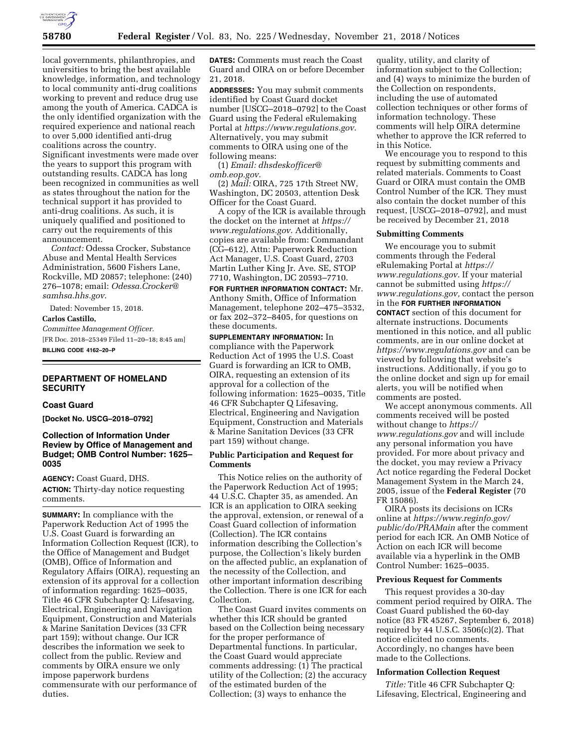

local governments, philanthropies, and universities to bring the best available knowledge, information, and technology to local community anti-drug coalitions working to prevent and reduce drug use among the youth of America. CADCA is the only identified organization with the required experience and national reach to over 5,000 identified anti-drug coalitions across the country. Significant investments were made over the years to support this program with outstanding results. CADCA has long been recognized in communities as well as states throughout the nation for the technical support it has provided to anti-drug coalitions. As such, it is uniquely qualified and positioned to carry out the requirements of this announcement.

*Contact:* Odessa Crocker, Substance Abuse and Mental Health Services Administration, 5600 Fishers Lane, Rockville, MD 20857; telephone: (240) 276–1078; email: *[Odessa.Crocker@](mailto:Odessa.Crocker@samhsa.hhs.gov) [samhsa.hhs.gov](mailto:Odessa.Crocker@samhsa.hhs.gov)*.

Dated: November 15, 2018.

#### **Carlos Castillo,**

*Committee Management Officer.*  [FR Doc. 2018–25349 Filed 11–20–18; 8:45 am] **BILLING CODE 4162–20–P** 

# **DEPARTMENT OF HOMELAND SECURITY**

#### **Coast Guard**

**[Docket No. USCG–2018–0792]** 

### **Collection of Information Under Review by Office of Management and Budget; OMB Control Number: 1625– 0035**

**AGENCY:** Coast Guard, DHS. **ACTION:** Thirty-day notice requesting comments.

**SUMMARY:** In compliance with the Paperwork Reduction Act of 1995 the U.S. Coast Guard is forwarding an Information Collection Request (ICR), to the Office of Management and Budget (OMB), Office of Information and Regulatory Affairs (OIRA), requesting an extension of its approval for a collection of information regarding: 1625–0035, Title 46 CFR Subchapter Q: Lifesaving, Electrical, Engineering and Navigation Equipment, Construction and Materials & Marine Sanitation Devices (33 CFR part 159); without change. Our ICR describes the information we seek to collect from the public. Review and comments by OIRA ensure we only impose paperwork burdens commensurate with our performance of duties.

**DATES:** Comments must reach the Coast Guard and OIRA on or before December 21, 2018.

**ADDRESSES:** You may submit comments identified by Coast Guard docket number [USCG–2018–0792] to the Coast Guard using the Federal eRulemaking Portal at *<https://www.regulations.gov>*. Alternatively, you may submit comments to OIRA using one of the following means:

(1) *Email: [dhsdeskofficer@](mailto:dhsdeskofficer@omb.eop.gov) [omb.eop.gov](mailto:dhsdeskofficer@omb.eop.gov)*.

(2) *Mail:* OIRA, 725 17th Street NW, Washington, DC 20503, attention Desk Officer for the Coast Guard.

A copy of the ICR is available through the docket on the internet at *[https://](https://www.regulations.gov) [www.regulations.gov](https://www.regulations.gov)*. Additionally, copies are available from: Commandant (CG–612), Attn: Paperwork Reduction Act Manager, U.S. Coast Guard, 2703 Martin Luther King Jr. Ave. SE, STOP 7710, Washington, DC 20593–7710.

**FOR FURTHER INFORMATION CONTACT:** Mr. Anthony Smith, Office of Information Management, telephone 202–475–3532, or fax 202–372–8405, for questions on these documents.

**SUPPLEMENTARY INFORMATION:** In compliance with the Paperwork Reduction Act of 1995 the U.S. Coast Guard is forwarding an ICR to OMB, OIRA, requesting an extension of its approval for a collection of the following information: 1625–0035, Title 46 CFR Subchapter Q Lifesaving, Electrical, Engineering and Navigation Equipment, Construction and Materials & Marine Sanitation Devices (33 CFR part 159) without change.

### **Public Participation and Request for Comments**

This Notice relies on the authority of the Paperwork Reduction Act of 1995; 44 U.S.C. Chapter 35, as amended. An ICR is an application to OIRA seeking the approval, extension, or renewal of a Coast Guard collection of information (Collection). The ICR contains information describing the Collection's purpose, the Collection's likely burden on the affected public, an explanation of the necessity of the Collection, and other important information describing the Collection. There is one ICR for each Collection.

The Coast Guard invites comments on whether this ICR should be granted based on the Collection being necessary for the proper performance of Departmental functions. In particular, the Coast Guard would appreciate comments addressing: (1) The practical utility of the Collection; (2) the accuracy of the estimated burden of the Collection; (3) ways to enhance the

quality, utility, and clarity of information subject to the Collection; and (4) ways to minimize the burden of the Collection on respondents, including the use of automated collection techniques or other forms of information technology. These comments will help OIRA determine whether to approve the ICR referred to in this Notice.

We encourage you to respond to this request by submitting comments and related materials. Comments to Coast Guard or OIRA must contain the OMB Control Number of the ICR. They must also contain the docket number of this request, [USCG–2018–0792], and must be received by December 21, 2018

### **Submitting Comments**

We encourage you to submit comments through the Federal eRulemaking Portal at *[https://](https://www.regulations.gov) [www.regulations.gov](https://www.regulations.gov)*. If your material cannot be submitted using *[https://](https://www.regulations.gov) [www.regulations.gov,](https://www.regulations.gov)* contact the person in the **FOR FURTHER INFORMATION CONTACT** section of this document for alternate instructions. Documents mentioned in this notice, and all public comments, are in our online docket at *<https://www.regulations.gov>* and can be viewed by following that website's instructions. Additionally, if you go to the online docket and sign up for email alerts, you will be notified when comments are posted.

We accept anonymous comments. All comments received will be posted without change to *[https://](https://www.regulations.gov) [www.regulations.gov](https://www.regulations.gov)* and will include any personal information you have provided. For more about privacy and the docket, you may review a Privacy Act notice regarding the Federal Docket Management System in the March 24, 2005, issue of the **Federal Register** (70 FR 15086).

OIRA posts its decisions on ICRs online at *[https://www.reginfo.gov/](https://www.reginfo.gov/public/do/PRAMain) [public/do/PRAMain](https://www.reginfo.gov/public/do/PRAMain)* after the comment period for each ICR. An OMB Notice of Action on each ICR will become available via a hyperlink in the OMB Control Number: 1625–0035.

#### **Previous Request for Comments**

This request provides a 30-day comment period required by OIRA. The Coast Guard published the 60-day notice (83 FR 45267, September 6, 2018) required by 44 U.S.C.  $3506(c)(2)$ . That notice elicited no comments. Accordingly, no changes have been made to the Collections.

#### **Information Collection Request**

*Title:* Title 46 CFR Subchapter Q: Lifesaving, Electrical, Engineering and